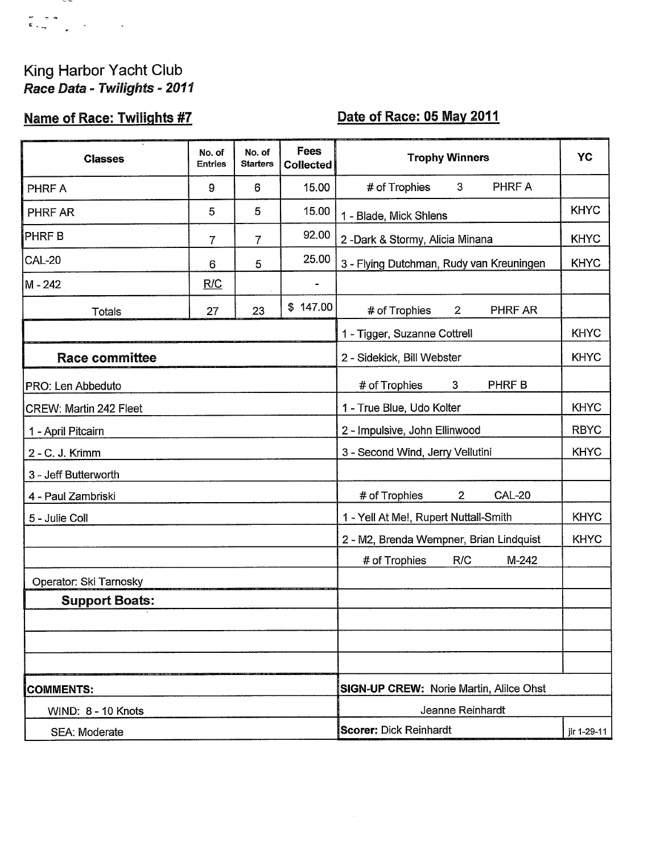## King Harbor Yacht Club<br>Race Data - Twilights - 2011

 $\sim$   $\sim$ 

## **Name of Race: Twilights #7**

## Date of Race: 05 May 2011

| <b>Classes</b>         | No. of<br><b>Entries</b> | No. of<br><b>Starters</b> | Fees<br><b>Collected</b>                | <b>Trophy Winners</b>                            | YC          |  |
|------------------------|--------------------------|---------------------------|-----------------------------------------|--------------------------------------------------|-------------|--|
| PHRF A                 | 9                        | 6                         | 15.00                                   | PHRF A<br># of Trophies<br>3                     |             |  |
| PHRF AR                | 5                        | 5                         | 15.00                                   | 1 - Blade, Mick Shlens                           | <b>KHYC</b> |  |
| <b>PHRFB</b>           | $\overline{7}$           | 7                         | 92.00                                   | 2-Dark & Stormy, Alicia Minana                   | <b>KHYC</b> |  |
| <b>CAL-20</b>          | 6                        | 5                         | 25.00                                   | 3 - Flying Dutchman, Rudy van Kreuningen         | <b>KHYC</b> |  |
| M - 242                | R/C                      |                           |                                         |                                                  |             |  |
| <b>Totals</b>          | 27                       | 23                        | \$147.00                                | # of Trophies<br>$\mathbf{2}$<br>PHRF AR         |             |  |
|                        |                          |                           |                                         | 1 - Tigger, Suzanne Cottrell                     | <b>KHYC</b> |  |
| <b>Race committee</b>  |                          |                           |                                         | 2 - Sidekick, Bill Webster                       | <b>KHYC</b> |  |
| PRO: Len Abbeduto      |                          |                           |                                         | # of Trophies<br>PHRF B<br>3                     |             |  |
| CREW: Martin 242 Fleet |                          |                           |                                         | 1 - True Blue, Udo Kolter                        | <b>KHYC</b> |  |
| 1 - April Pitcairn     |                          |                           |                                         | 2 - Impulsive, John Ellinwood                    | <b>RBYC</b> |  |
| 2 - C. J. Krimm        |                          |                           |                                         | 3 - Second Wind, Jerry Vellutini                 | <b>KHYC</b> |  |
| 3 - Jeff Butterworth   |                          |                           |                                         |                                                  |             |  |
| 4 - Paul Zambriski     |                          |                           |                                         | <b>CAL-20</b><br># of Trophies<br>$\overline{2}$ |             |  |
| 5 - Julie Coll         |                          |                           |                                         | 1 - Yell At Me!, Rupert Nuttall-Smith            | <b>KHYC</b> |  |
|                        |                          |                           |                                         | 2 - M2, Brenda Wempner, Brian Lindquist          | <b>KHYC</b> |  |
|                        |                          |                           |                                         | # of Trophies<br>R/C<br>M-242                    |             |  |
| Operator: Ski Tarnosky |                          |                           |                                         |                                                  |             |  |
| <b>Support Boats:</b>  |                          |                           |                                         |                                                  |             |  |
|                        |                          |                           |                                         |                                                  |             |  |
|                        |                          |                           |                                         |                                                  |             |  |
|                        |                          |                           |                                         |                                                  |             |  |
| <b>COMMENTS:</b>       |                          |                           | SIGN-UP CREW: Norie Martin, Alilce Ohst |                                                  |             |  |
| WIND: 8 - 10 Knots     |                          |                           |                                         | Jeanne Reinhardt                                 |             |  |
| SEA: Moderate          |                          |                           |                                         | <b>Scorer: Dick Reinhardt</b>                    | jlr 1-29-11 |  |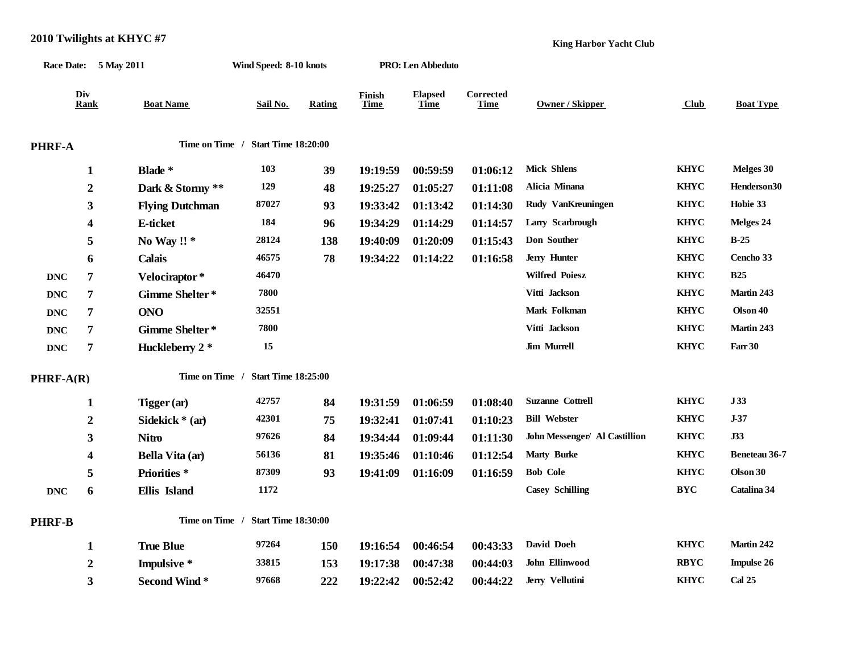|                |                       | 2010 Twilights at $KHYC$ #7 |                                    |        |                       | <b>King Harbor Yacht Club</b> |                          |                               |             |                      |  |
|----------------|-----------------------|-----------------------------|------------------------------------|--------|-----------------------|-------------------------------|--------------------------|-------------------------------|-------------|----------------------|--|
|                | Race Date: 5 May 2011 |                             | Wind Speed: 8-10 knots             |        |                       | <b>PRO:</b> Len Abbeduto      |                          |                               |             |                      |  |
|                | Div<br>Rank           | <b>Boat Name</b>            | Sail No.                           | Rating | Finish<br><b>Time</b> | <b>Elapsed</b><br>Time        | Corrected<br><b>Time</b> | <b>Owner / Skipper</b>        | Club        | <b>Boat Type</b>     |  |
| PHRF-A         |                       |                             | Time on Time / Start Time 18:20:00 |        |                       |                               |                          |                               |             |                      |  |
|                | $\mathbf{1}$          | Blade *                     | 103                                | 39     | 19:19:59              | 00:59:59                      | 01:06:12                 | <b>Mick Shlens</b>            | <b>KHYC</b> | Melges 30            |  |
|                | $\boldsymbol{2}$      | Dark & Stormy **            | 129                                | 48     | 19:25:27              | 01:05:27                      | 01:11:08                 | Alicia Minana                 | <b>KHYC</b> | Henderson30          |  |
|                | 3                     | <b>Flying Dutchman</b>      | 87027                              | 93     | 19:33:42              | 01:13:42                      | 01:14:30                 | Rudy VanKreuningen            | <b>KHYC</b> | Hobie 33             |  |
|                | 4                     | E-ticket                    | 184                                | 96     | 19:34:29              | 01:14:29                      | 01:14:57                 | Larry Scarbrough              | <b>KHYC</b> | Melges 24            |  |
|                | 5                     | No Way!!*                   | 28124                              | 138    | 19:40:09              | 01:20:09                      | 01:15:43                 | Don Souther                   | <b>KHYC</b> | $B-25$               |  |
|                | 6                     | <b>Calais</b>               | 46575                              | 78     | 19:34:22              | 01:14:22                      | 01:16:58                 | Jerry Hunter                  | <b>KHYC</b> | Cencho 33            |  |
| <b>DNC</b>     | 7                     | Velociraptor*               | 46470                              |        |                       |                               |                          | <b>Wilfred Poiesz</b>         | <b>KHYC</b> | <b>B25</b>           |  |
| <b>DNC</b>     | 7                     | Gimme Shelter*              | 7800                               |        |                       |                               |                          | Vitti Jackson                 | <b>KHYC</b> | Martin 243           |  |
| <b>DNC</b>     | $\overline{7}$        | <b>ONO</b>                  | 32551                              |        |                       |                               |                          | Mark Folkman                  | <b>KHYC</b> | Olson 40             |  |
| <b>DNC</b>     | 7                     | Gimme Shelter*              | 7800                               |        |                       |                               |                          | Vitti Jackson                 | <b>KHYC</b> | Martin 243           |  |
| $\mathbf{DNC}$ | $\overline{7}$        | Huckleberry 2 *             | 15                                 |        |                       |                               |                          | <b>Jim Murrell</b>            | <b>KHYC</b> | Farr 30              |  |
| PHRF-A(R)      |                       |                             | Time on Time / Start Time 18:25:00 |        |                       |                               |                          |                               |             |                      |  |
|                | $\mathbf{1}$          | Tigger (ar)                 | 42757                              | 84     | 19:31:59              | 01:06:59                      | 01:08:40                 | <b>Suzanne Cottrell</b>       | <b>KHYC</b> | J33                  |  |
|                | $\boldsymbol{2}$      | Sidekick * (ar)             | 42301                              | 75     | 19:32:41              | 01:07:41                      | 01:10:23                 | <b>Bill Webster</b>           | <b>KHYC</b> | $J-37$               |  |
|                | 3                     | <b>Nitro</b>                | 97626                              | 84     | 19:34:44              | 01:09:44                      | 01:11:30                 | John Messenger/ Al Castillion | <b>KHYC</b> | J33                  |  |
|                | 4                     | Bella Vita (ar)             | 56136                              | 81     | 19:35:46              | 01:10:46                      | 01:12:54                 | <b>Marty Burke</b>            | <b>KHYC</b> | <b>Beneteau 36-7</b> |  |
|                | 5                     | Priorities*                 | 87309                              | 93     | 19:41:09              | 01:16:09                      | 01:16:59                 | <b>Bob Cole</b>               | <b>KHYC</b> | Olson 30             |  |
| <b>DNC</b>     | 6                     | Ellis Island                | 1172                               |        |                       |                               |                          | <b>Casey Schilling</b>        | <b>BYC</b>  | Catalina 34          |  |
| PHRF-B         |                       |                             | Time on Time / Start Time 18:30:00 |        |                       |                               |                          |                               |             |                      |  |
|                | 1                     | <b>True Blue</b>            | 97264                              | 150    | 19:16:54              | 00:46:54                      | 00:43:33                 | David Doeh                    | <b>KHYC</b> | Martin 242           |  |
|                | $\mathbf{2}$          | Impulsive *                 | 33815                              | 153    | 19:17:38              | 00:47:38                      | 00:44:03                 | John Ellinwood                | <b>RBYC</b> | <b>Impulse 26</b>    |  |
|                | 3                     | <b>Second Wind*</b>         | 97668                              | 222    | 19:22:42              | 00:52:42                      | 00:44:22                 | Jerry Vellutini               | <b>KHYC</b> | <b>Cal 25</b>        |  |

**2010 Twilights at KHYC #7**